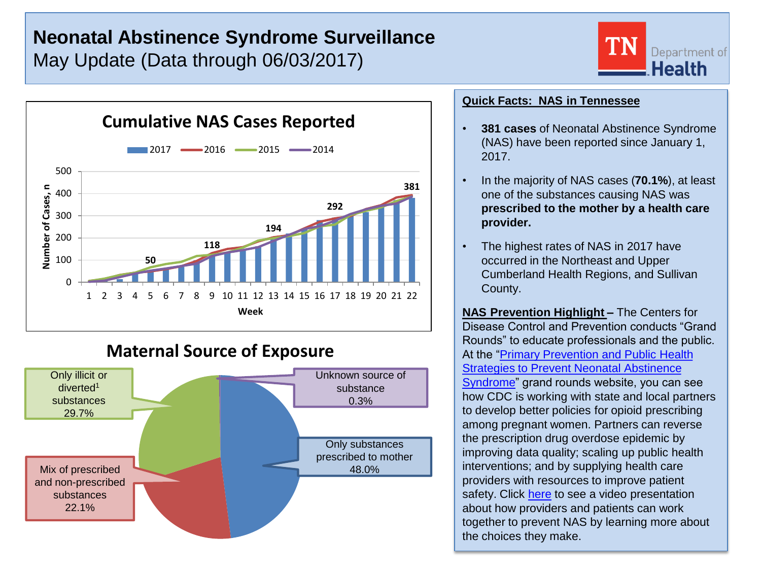# **Neonatal Abstinence Syndrome Surveillance** May Update (Data through 06/03/2017)





# **Maternal Source of Exposure**



## **Quick Facts: NAS in Tennessee**

- **381 cases** of Neonatal Abstinence Syndrome (NAS) have been reported since January 1, 2017.
- In the majority of NAS cases (**70.1%**), at least one of the substances causing NAS was **prescribed to the mother by a health care provider.**
- The highest rates of NAS in 2017 have occurred in the Northeast and Upper Cumberland Health Regions, and Sullivan County.

**NAS Prevention Highlight –** The Centers for Disease Control and Prevention conducts "Grand Rounds" to educate professionals and the public. At the "[Primary Prevention and Public Health](https://www.cdc.gov/cdcgrandrounds/archives/2016/august2016.htm)  [Strategies to Prevent Neonatal Abstinence](https://www.cdc.gov/cdcgrandrounds/archives/2016/august2016.htm)  [Syndrome"](https://www.cdc.gov/cdcgrandrounds/archives/2016/august2016.htm) grand rounds website, you can see how CDC is working with state and local partners to develop better policies for opioid prescribing among pregnant women. Partners can reverse the prescription drug overdose epidemic by improving data quality; scaling up public health interventions; and by supplying health care providers with resources to improve patient safety. Click [here](https://youtu.be/g5RW_y60En0) to see a video presentation about how providers and patients can work together to prevent NAS by learning more about the choices they make.